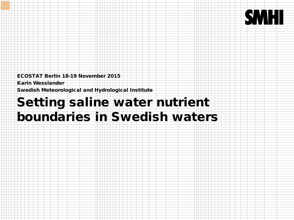ECOSTAT Berlin 18-19 November 2015

Karin Wesslander

Swedish Meteorological and Hydrological Institute

# Setting saline water nutrient boundaries in Swedish waters

**SMHI**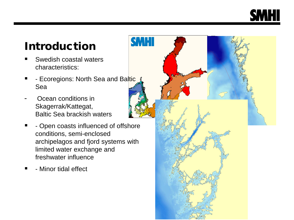## Introduction

- Swedish coastal waters characteristics:
- F Ecoregions: North Sea and Baltic Sea
- Ocean conditions in Skagerrak/Kattegat, Baltic Sea brackish waters
- **-** Open coasts influenced of offshore conditions, semi-enclosed archipelagos and fjord systems with limited water exchange and freshwater influence
- Minor tidal effect

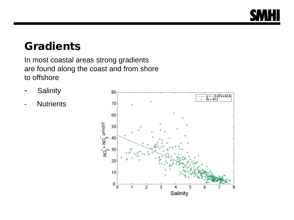

#### **Gradients**

In most coastal areas strong gradients are found along the coast and from shore to offshore

- Salinity
- Nutrients

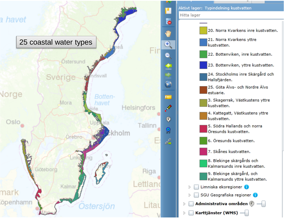



Karttjänster (WMS) -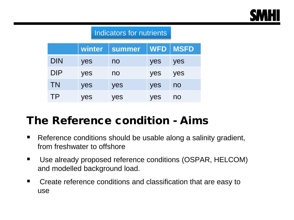

#### Indicators for nutrients

|            | winter | summer |     | WFD   MSFD |
|------------|--------|--------|-----|------------|
| <b>DIN</b> | yes    | no     | yes | yes        |
| <b>DIP</b> | yes    | no     | yes | yes        |
| <b>TN</b>  | yes    | yes    | yes | no         |
| TP         | yes    | yes    | yes | no         |

#### The Reference condition - Aims

- Reference conditions should be usable along a salinity gradient, from freshwater to offshore
- Use already proposed reference conditions (OSPAR, HELCOM) and modelled background load.
- **EXTER Create reference conditions and classification that are easy to** use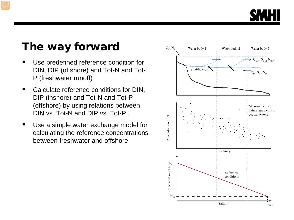

#### The way forward

- Use predefined reference condition for DIN, DIP (offshore) and Tot-N and Tot-P (freshwater runoff)
- Calculate reference conditions for DIN, DIP (inshore) and Tot-N and Tot-P (offshore) by using relations between DIN vs. Tot-N and DIP vs. Tot-P.
- Use a simple water exchange model for calculating the reference concentrations between freshwater and offshore

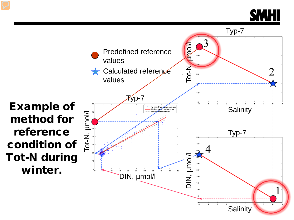

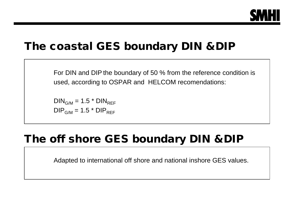

#### The coastal GES boundary DIN &DIP

For DIN and DIP the boundary of 50 % from the reference condition is used, according to OSPAR and HELCOM recomendations:

 $DIN_{G/M}$  = 1.5  $*$   $DIN_{REF}$  $DIP_{G/M}$  = 1.5  $*$  DIP<sub>REF</sub>

#### The off shore GES boundary DIN &DIP

Adapted to international off shore and national inshore GES values.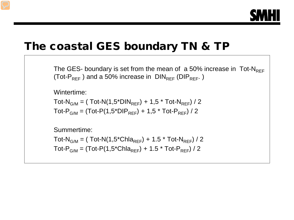

#### The coastal GES boundary TN & TP

The GES- boundary is set from the mean of a 50% increase in Tot- $N_{\text{REF}}$ (Tot- $P_{REF}$ ) and a 50% increase in  $DIN_{REF}$  (DI $P_{REF}$ .)

Wintertime:

Tot-N<sub>G/M</sub> = (Tot-N(1,5\*DIN<sub>REF</sub>) + 1,5 \* Tot-N<sub>REF</sub>) / 2 Tot-P<sub>G/M</sub> =  $(Tot-P(1,5^{\ast}DIP_{REF}) + 1,5^{\ast}Tot-P_{REF}) / 2$ 

Summertime:

Tot-N<sub>G/M</sub> = (Tot-N(1,5<sup>\*</sup>Chla<sub>RFF</sub>) + 1.5 <sup>\*</sup> Tot-N<sub>RFF</sub>) / 2 Tot-P<sub>G/M</sub> =  $(Tot-P(1,5^{\ast}Chla_{REF}) + 1.5^{\ast}Tot-P_{REF}) / 2$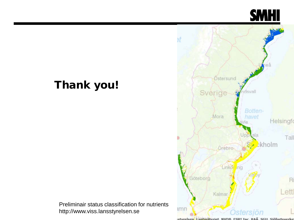

### Thank you!



Preliminair status classification for nutrients http://www.viss.lansstyrelsen.se

schurelsen Lantmäteriet NVDR FSDT Inc RAÄ SCIL Sjöfartsverke